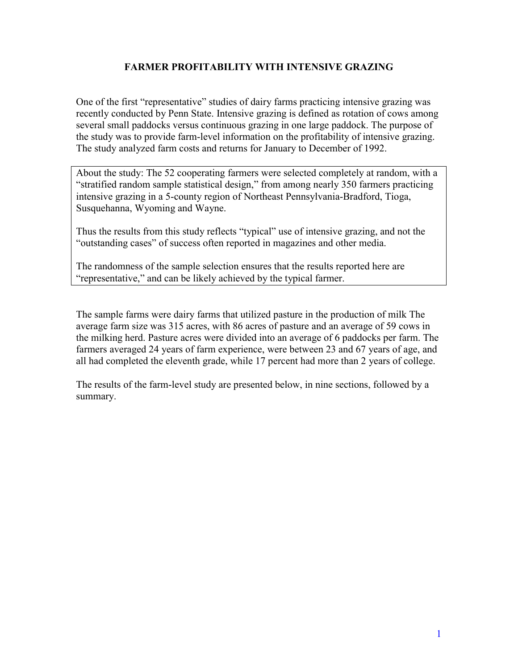### **FARMER PROFITABILITY WITH INTENSIVE GRAZING**

One of the first "representative" studies of dairy farms practicing intensive grazing was recently conducted by Penn State. Intensive grazing is defined as rotation of cows among several small paddocks versus continuous grazing in one large paddock. The purpose of the study was to provide farm-level information on the profitability of intensive grazing. The study analyzed farm costs and returns for January to December of 1992.

About the study: The 52 cooperating farmers were selected completely at random, with a "stratified random sample statistical design," from among nearly 350 farmers practicing intensive grazing in a 5-county region of Northeast Pennsylvania-Bradford, Tioga, Susquehanna, Wyoming and Wayne.

Thus the results from this study reflects "typical" use of intensive grazing, and not the "outstanding cases" of success often reported in magazines and other media.

The randomness of the sample selection ensures that the results reported here are "representative," and can be likely achieved by the typical farmer.

The sample farms were dairy farms that utilized pasture in the production of milk The average farm size was 315 acres, with 86 acres of pasture and an average of 59 cows in the milking herd. Pasture acres were divided into an average of 6 paddocks per farm. The farmers averaged 24 years of farm experience, were between 23 and 67 years of age, and all had completed the eleventh grade, while 17 percent had more than 2 years of college.

The results of the farm-level study are presented below, in nine sections, followed by a summary.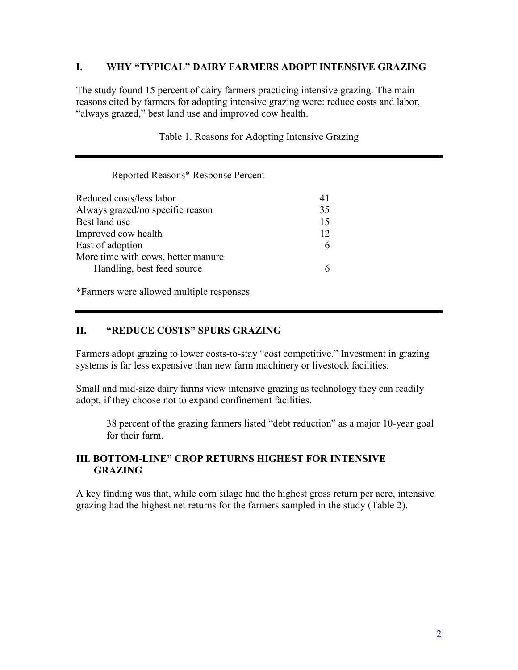### **I. WHY "TYPICAL" DAIRY FARMERS ADOPT INTENSIVE GRAZING**

The study found 15 percent of dairy farmers practicing intensive grazing. The main reasons cited by farmers for adopting intensive grazing were: reduce costs and labor, "always grazed," best land use and improved cow health.

| Reported Reasons* Response Percent |    |  |
|------------------------------------|----|--|
| Reduced costs/less labor           | 41 |  |
| Always grazed/no specific reason   | 35 |  |
| Best land use                      | 15 |  |
| Improved cow health                | 12 |  |
| East of adoption                   | 6  |  |
| More time with cows, better manure |    |  |
| Handling, best feed source         | 6  |  |

Table 1. Reasons for Adopting Intensive Grazing

\*Farmers were allowed multiple responses

#### **II. "REDUCE COSTS" SPURS GRAZING**

Farmers adopt grazing to lower costs-to-stay "cost competitive." Investment in grazing systems is far less expensive than new farm machinery or livestock facilities.

Small and mid-size dairy farms view intensive grazing as technology they can readily adopt, if they choose not to expand confinement facilities.

38 percent of the grazing farmers listed "debt reduction" as a major 10-year goal for their farm.

### **III. BOTTOM-LINE" CROP RETURNS HIGHEST FOR INTENSIVE GRAZING**

A key finding was that, while corn silage had the highest gross return per acre, intensive grazing had the highest net returns for the farmers sampled in the study (Table 2).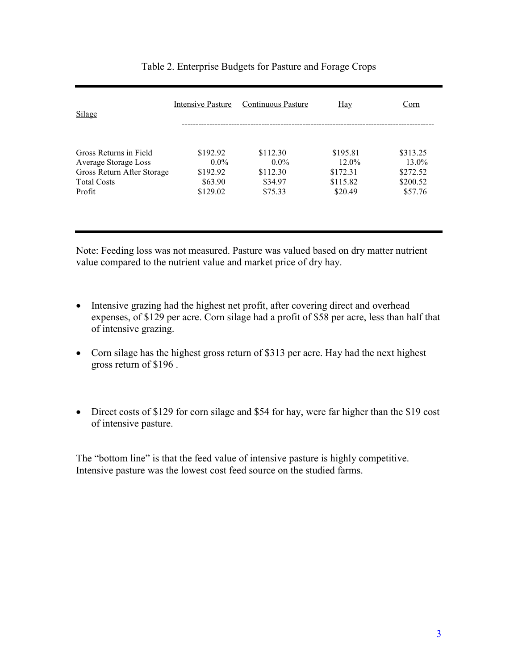| <b>Silage</b>              | Intensive Pasture | Continuous Pasture | Hay      | Corn     |
|----------------------------|-------------------|--------------------|----------|----------|
| Gross Returns in Field     | \$192.92          | \$112.30           | \$195.81 | \$313.25 |
| Average Storage Loss       | $0.0\%$           | $0.0\%$            | $12.0\%$ | $13.0\%$ |
| Gross Return After Storage | \$192.92          | \$112.30           | \$172.31 | \$272.52 |
| <b>Total Costs</b>         | \$63.90           | \$34.97            | \$115.82 | \$200.52 |
| Profit                     | \$129.02          | \$75.33            | \$20.49  | \$57.76  |
|                            |                   |                    |          |          |
|                            |                   |                    |          |          |

#### Table 2. Enterprise Budgets for Pasture and Forage Crops

Note: Feeding loss was not measured. Pasture was valued based on dry matter nutrient value compared to the nutrient value and market price of dry hay.

- Intensive grazing had the highest net profit, after covering direct and overhead expenses, of \$129 per acre. Corn silage had a profit of \$58 per acre, less than half that of intensive grazing.
- Corn silage has the highest gross return of \$313 per acre. Hay had the next highest gross return of \$196 .
- Direct costs of \$129 for corn silage and \$54 for hay, were far higher than the \$19 cost of intensive pasture.

The "bottom line" is that the feed value of intensive pasture is highly competitive. Intensive pasture was the lowest cost feed source on the studied farms.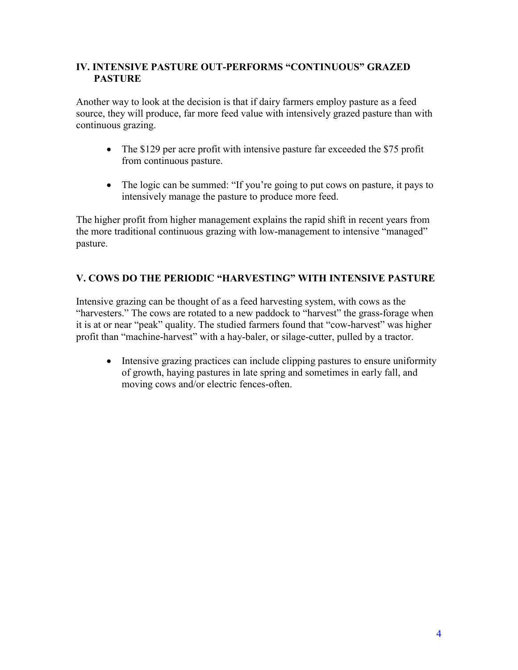### **IV. INTENSIVE PASTURE OUT-PERFORMS "CONTINUOUS" GRAZED PASTURE**

Another way to look at the decision is that if dairy farmers employ pasture as a feed source, they will produce, far more feed value with intensively grazed pasture than with continuous grazing.

- The \$129 per acre profit with intensive pasture far exceeded the \$75 profit from continuous pasture.
- The logic can be summed: "If you're going to put cows on pasture, it pays to intensively manage the pasture to produce more feed.

The higher profit from higher management explains the rapid shift in recent years from the more traditional continuous grazing with low-management to intensive "managed" pasture.

# **V. COWS DO THE PERIODIC "HARVESTING" WITH INTENSIVE PASTURE**

Intensive grazing can be thought of as a feed harvesting system, with cows as the "harvesters." The cows are rotated to a new paddock to "harvest" the grass-forage when it is at or near "peak" quality. The studied farmers found that "cow-harvest" was higher profit than "machine-harvest" with a hay-baler, or silage-cutter, pulled by a tractor.

 Intensive grazing practices can include clipping pastures to ensure uniformity of growth, haying pastures in late spring and sometimes in early fall, and moving cows and/or electric fences-often.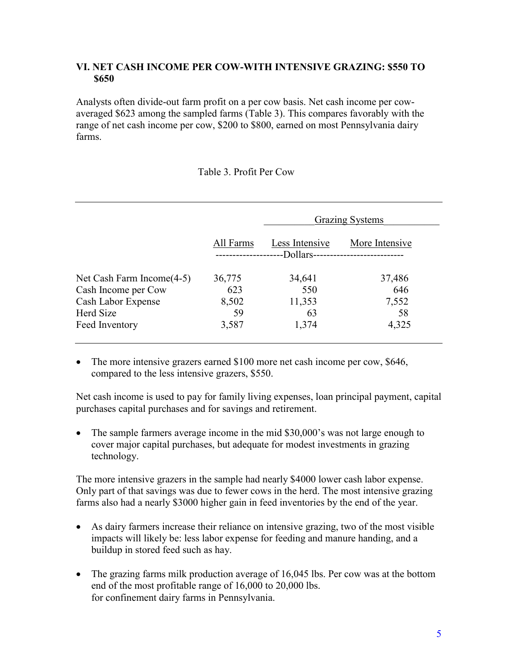### **VI. NET CASH INCOME PER COW-WITH INTENSIVE GRAZING: \$550 TO \$650**

Analysts often divide-out farm profit on a per cow basis. Net cash income per cowaveraged \$623 among the sampled farms (Table 3). This compares favorably with the range of net cash income per cow, \$200 to \$800, earned on most Pennsylvania dairy farms.

#### Table 3. Profit Per Cow

|                              | All Farms | <b>Grazing Systems</b>      |                |
|------------------------------|-----------|-----------------------------|----------------|
|                              |           | Less Intensive<br>-Dollars- | More Intensive |
| Net Cash Farm Income $(4-5)$ | 36,775    | 34,641                      | 37,486         |
| Cash Income per Cow          | 623       | 550                         | 646            |
| Cash Labor Expense           | 8,502     | 11,353                      | 7,552          |
| <b>Herd Size</b>             | 59        | 63                          | 58             |
| Feed Inventory               | 3,587     | 1,374                       | 4,325          |

• The more intensive grazers earned \$100 more net cash income per cow, \$646, compared to the less intensive grazers, \$550.

Net cash income is used to pay for family living expenses, loan principal payment, capital purchases capital purchases and for savings and retirement.

• The sample farmers average income in the mid \$30,000's was not large enough to cover major capital purchases, but adequate for modest investments in grazing technology.

The more intensive grazers in the sample had nearly \$4000 lower cash labor expense. Only part of that savings was due to fewer cows in the herd. The most intensive grazing farms also had a nearly \$3000 higher gain in feed inventories by the end of the year.

- As dairy farmers increase their reliance on intensive grazing, two of the most visible impacts will likely be: less labor expense for feeding and manure handing, and a buildup in stored feed such as hay.
- The grazing farms milk production average of 16,045 lbs. Per cow was at the bottom end of the most profitable range of 16,000 to 20,000 lbs. for confinement dairy farms in Pennsylvania.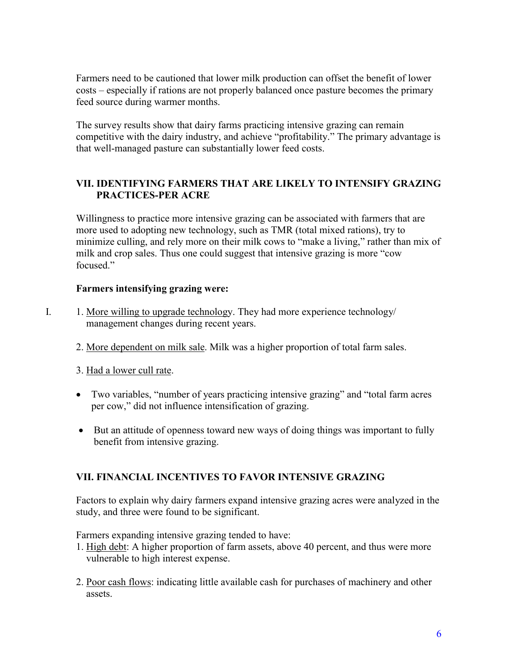Farmers need to be cautioned that lower milk production can offset the benefit of lower costs – especially if rations are not properly balanced once pasture becomes the primary feed source during warmer months.

The survey results show that dairy farms practicing intensive grazing can remain competitive with the dairy industry, and achieve "profitability." The primary advantage is that well-managed pasture can substantially lower feed costs.

## **VII. IDENTIFYING FARMERS THAT ARE LIKELY TO INTENSIFY GRAZING PRACTICES-PER ACRE**

Willingness to practice more intensive grazing can be associated with farmers that are more used to adopting new technology, such as TMR (total mixed rations), try to minimize culling, and rely more on their milk cows to "make a living," rather than mix of milk and crop sales. Thus one could suggest that intensive grazing is more "cow focused"

## **Farmers intensifying grazing were:**

- I. 1. More willing to upgrade technology. They had more experience technology/ management changes during recent years.
	- 2. More dependent on milk sale. Milk was a higher proportion of total farm sales.
	- 3. Had a lower cull rate.
	- Two variables, "number of years practicing intensive grazing" and "total farm acres per cow," did not influence intensification of grazing.
	- But an attitude of openness toward new ways of doing things was important to fully benefit from intensive grazing.

# **VII. FINANCIAL INCENTIVES TO FAVOR INTENSIVE GRAZING**

Factors to explain why dairy farmers expand intensive grazing acres were analyzed in the study, and three were found to be significant.

Farmers expanding intensive grazing tended to have:

- 1. High debt: A higher proportion of farm assets, above 40 percent, and thus were more vulnerable to high interest expense.
- 2. Poor cash flows: indicating little available cash for purchases of machinery and other assets.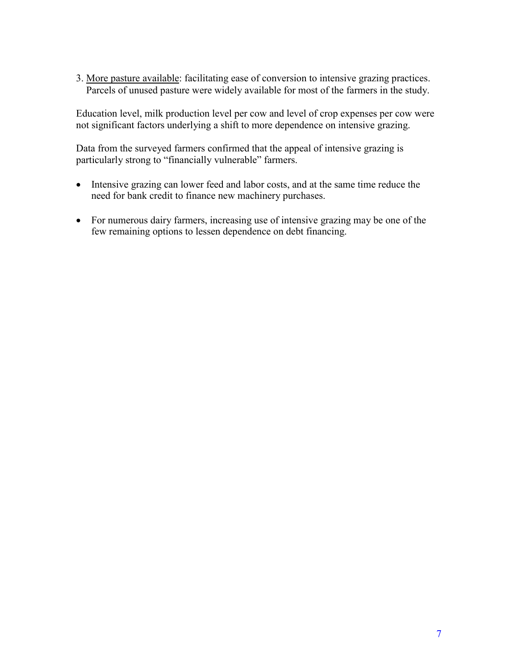3. More pasture available: facilitating ease of conversion to intensive grazing practices. Parcels of unused pasture were widely available for most of the farmers in the study.

Education level, milk production level per cow and level of crop expenses per cow were not significant factors underlying a shift to more dependence on intensive grazing.

Data from the surveyed farmers confirmed that the appeal of intensive grazing is particularly strong to "financially vulnerable" farmers.

- Intensive grazing can lower feed and labor costs, and at the same time reduce the need for bank credit to finance new machinery purchases.
- For numerous dairy farmers, increasing use of intensive grazing may be one of the few remaining options to lessen dependence on debt financing.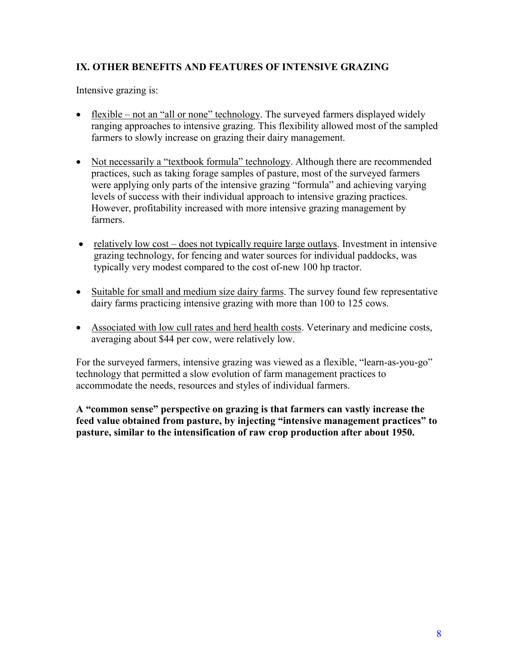# **IX. OTHER BENEFITS AND FEATURES OF INTENSIVE GRAZING**

Intensive grazing is:

- flexible not an "all or none" technology. The surveyed farmers displayed widely ranging approaches to intensive grazing. This flexibility allowed most of the sampled farmers to slowly increase on grazing their dairy management.
- Not necessarily a "textbook formula" technology. Although there are recommended practices, such as taking forage samples of pasture, most of the surveyed farmers were applying only parts of the intensive grazing "formula" and achieving varying levels of success with their individual approach to intensive grazing practices. However, profitability increased with more intensive grazing management by farmers.
- relatively low cost does not typically require large outlays. Investment in intensive grazing technology, for fencing and water sources for individual paddocks, was typically very modest compared to the cost of-new 100 hp tractor.
- Suitable for small and medium size dairy farms. The survey found few representative dairy farms practicing intensive grazing with more than 100 to 125 cows.
- Associated with low cull rates and herd health costs. Veterinary and medicine costs, averaging about \$44 per cow, were relatively low.

For the surveyed farmers, intensive grazing was viewed as a flexible, "learn-as-you-go" technology that permitted a slow evolution of farm management practices to accommodate the needs, resources and styles of individual farmers.

**A "common sense" perspective on grazing is that farmers can vastly increase the feed value obtained from pasture, by injecting "intensive management practices" to pasture, similar to the intensification of raw crop production after about 1950.**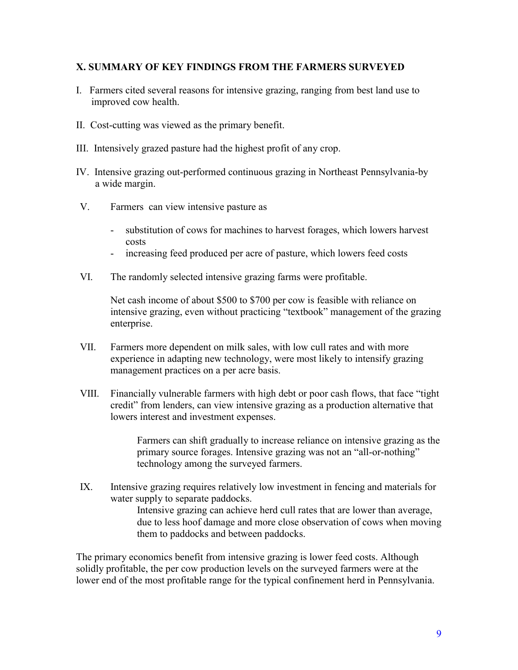#### **X. SUMMARY OF KEY FINDINGS FROM THE FARMERS SURVEYED**

- I. Farmers cited several reasons for intensive grazing, ranging from best land use to improved cow health.
- II. Cost-cutting was viewed as the primary benefit.
- III. Intensively grazed pasture had the highest profit of any crop.
- IV. Intensive grazing out-performed continuous grazing in Northeast Pennsylvania-by a wide margin.
- V. Farmers can view intensive pasture as
	- substitution of cows for machines to harvest forages, which lowers harvest costs
	- increasing feed produced per acre of pasture, which lowers feed costs
- VI. The randomly selected intensive grazing farms were profitable.

Net cash income of about \$500 to \$700 per cow is feasible with reliance on intensive grazing, even without practicing "textbook" management of the grazing enterprise.

- VII. Farmers more dependent on milk sales, with low cull rates and with more experience in adapting new technology, were most likely to intensify grazing management practices on a per acre basis.
- VIII. Financially vulnerable farmers with high debt or poor cash flows, that face "tight credit" from lenders, can view intensive grazing as a production alternative that lowers interest and investment expenses.

Farmers can shift gradually to increase reliance on intensive grazing as the primary source forages. Intensive grazing was not an "all-or-nothing" technology among the surveyed farmers.

IX. Intensive grazing requires relatively low investment in fencing and materials for water supply to separate paddocks. Intensive grazing can achieve herd cull rates that are lower than average, due to less hoof damage and more close observation of cows when moving them to paddocks and between paddocks.

The primary economics benefit from intensive grazing is lower feed costs. Although solidly profitable, the per cow production levels on the surveyed farmers were at the lower end of the most profitable range for the typical confinement herd in Pennsylvania.